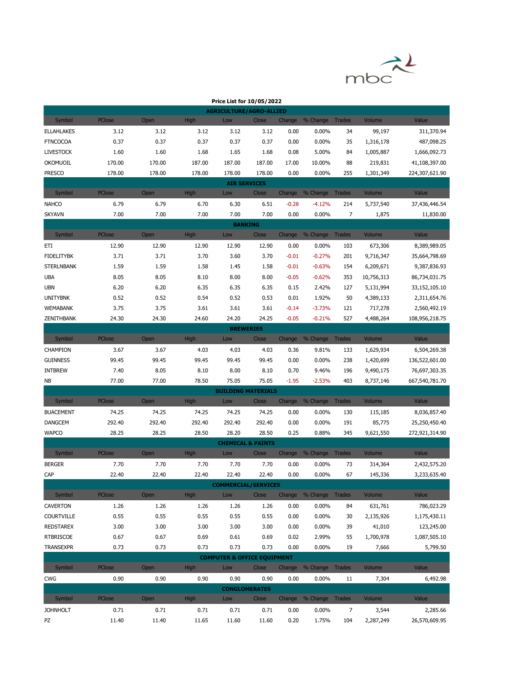

| Price List for 10/05/2022                |               |        |             |                                                |        |         |                        |               |            |                |  |
|------------------------------------------|---------------|--------|-------------|------------------------------------------------|--------|---------|------------------------|---------------|------------|----------------|--|
|                                          |               |        |             | <b>AGRICULTURE/AGRO-ALLIED</b>                 |        |         |                        |               |            |                |  |
| Symbol                                   | <b>PClose</b> | Open   | <b>High</b> | Low                                            | Close  |         | Change % Change Trades |               | Volume     | Value          |  |
| <b>ELLAHLAKES</b>                        | 3.12          | 3.12   | 3.12        | 3.12                                           | 3.12   | 0.00    | 0.00%                  | 34            | 99,197     | 311,370.94     |  |
| <b>FTNCOCOA</b>                          | 0.37          | 0.37   | 0.37        | 0.37                                           | 0.37   | 0.00    | 0.00%                  | 35            | 1,316,178  | 487,098.25     |  |
| <b>LIVESTOCK</b>                         | 1.60          | 1.60   | 1.68        | 1.65                                           | 1.68   | 0.08    | 5.00%                  | 84            | 1,005,887  | 1,666,092.73   |  |
| OKOMUOIL                                 | 170.00        | 170.00 | 187.00      | 187.00                                         | 187.00 | 17.00   | 10.00%                 | 88            | 219,831    | 41,108,397.00  |  |
| <b>PRESCO</b>                            | 178.00        | 178.00 | 178.00      | 178.00                                         | 178.00 | 0.00    | 0.00%                  | 255           | 1,301,349  | 224,307,621.90 |  |
|                                          |               |        |             | <b>AIR SERVICES</b>                            |        |         |                        |               |            |                |  |
| Symbol                                   | <b>PClose</b> | Open   | High        | Low                                            | Close  |         | Change % Change        | <b>Trades</b> | Volume     | Value          |  |
| <b>NAHCO</b>                             | 6.79          | 6.79   | 6.70        | 6.30                                           | 6.51   | $-0.28$ | $-4.12%$               | 214           | 5,737,540  | 37,436,446.54  |  |
| <b>SKYAVN</b>                            | 7.00          | 7.00   | 7.00        | 7.00                                           | 7.00   | 0.00    | 0.00%                  | 7             | 1,875      | 11,830.00      |  |
| <b>BANKING</b><br>Change % Change Trades |               |        |             |                                                |        |         |                        |               |            |                |  |
| Symbol                                   | <b>PClose</b> | Open   | <b>High</b> | Low                                            | Close  |         |                        |               | Volume     | Value          |  |
| ETI                                      | 12.90         | 12.90  | 12.90       | 12.90                                          | 12.90  | 0.00    | 0.00%                  | 103           | 673,306    | 8,389,989.05   |  |
| <b>FIDELITYBK</b>                        | 3.71          | 3.71   | 3.70        | 3.60                                           | 3.70   | $-0.01$ | $-0.27%$               | 201           | 9,716,347  | 35,664,798.69  |  |
| <b>STERLNBANK</b>                        | 1.59          | 1.59   | 1.58        | 1.45                                           | 1.58   | $-0.01$ | $-0.63%$               | 154           | 6,209,671  | 9,387,836.93   |  |
| <b>UBA</b>                               | 8.05          | 8.05   | 8.10        | 8.00                                           | 8.00   | $-0.05$ | $-0.62%$               | 353           | 10,756,313 | 86,734,031.75  |  |
| <b>UBN</b>                               | 6.20          | 6.20   | 6.35        | 6.35                                           | 6.35   | 0.15    | 2.42%                  | 127           | 5,131,994  | 33,152,105.10  |  |
| <b>UNITYBNK</b>                          | 0.52          | 0.52   | 0.54        | 0.52                                           | 0.53   | 0.01    | 1.92%                  | 50            | 4,389,133  | 2,311,654.76   |  |
| <b>WEMABANK</b>                          | 3.75          | 3.75   | 3.61        | 3.61                                           | 3.61   | $-0.14$ | $-3.73%$               | 121           | 717,278    | 2,560,492.19   |  |
| ZENITHBANK                               | 24.30         | 24.30  | 24.60       | 24.20                                          | 24.25  | $-0.05$ | $-0.21%$               | 527           | 4,488,264  | 108,956,218.75 |  |
|                                          |               |        |             | <b>BREWERIES</b>                               |        |         |                        |               |            |                |  |
| Symbol                                   | PClose        | Open   | High        | Low                                            | Close  | Change  | % Change               | <b>Trades</b> | Volume     | Value          |  |
| CHAMPION                                 | 3.67          | 3.67   | 4.03        | 4.03                                           | 4.03   | 0.36    | 9.81%                  | 133           | 1,629,934  | 6,504,269.38   |  |
| <b>GUINNESS</b>                          | 99.45         | 99.45  | 99.45       | 99.45                                          | 99.45  | 0.00    | $0.00\%$               | 238           | 1,420,699  | 136,522,601.00 |  |
| <b>INTBREW</b>                           | 7.40          | 8.05   | 8.10        | 8.00                                           | 8.10   | 0.70    | 9.46%                  | 196           | 9,490,175  | 76,697,303.35  |  |
| NΒ                                       | 77.00         | 77.00  | 78.50       | 75.05                                          | 75.05  | $-1.95$ | $-2.53%$               | 403           | 8,737,146  | 667,540,781.70 |  |
|                                          |               |        |             | <b>BUILDING MATERIALS</b>                      |        |         |                        |               |            |                |  |
| Symbol                                   | PClose        | Open   | High        | Low                                            | Close  |         | Change % Change        | Trades        | Volume     | Value          |  |
| <b>BUACEMENT</b>                         | 74.25         | 74.25  | 74.25       | 74.25                                          | 74.25  | 0.00    | 0.00%                  | 130           | 115,185    | 8,036,857.40   |  |
| <b>DANGCEM</b>                           | 292.40        | 292.40 | 292.40      | 292.40                                         | 292.40 | 0.00    | $0.00\%$               | 191           | 85,775     | 25,250,450.40  |  |
| <b>WAPCO</b>                             | 28.25         | 28.25  | 28.50       | 28.20                                          | 28.50  | 0.25    | 0.88%                  | 345           | 9,621,550  | 272,921,314.90 |  |
|                                          | <b>PClose</b> |        |             | <b>CHEMICAL &amp; PAINTS</b>                   |        |         |                        |               |            |                |  |
| Symbol                                   |               | Open   | High        | Low                                            | Close  | Change  | % Change               | <b>Trades</b> | Volume     | Value          |  |
| <b>BERGER</b>                            | 7.70          | 7.70   | 7.70        | 7.70                                           | 7.70   | 0.00    | 0.00%                  | 73            | 314,364    | 2,432,575.20   |  |
| CAP                                      | 22.40         | 22.40  | 22.40       | 22.40                                          | 22.40  | 0.00    | 0.00%                  | 67            | 145,336    | 3,233,635.40   |  |
| Symbol                                   | <b>PClose</b> | Open   | <b>High</b> | <b>COMMERCIAL/SERVICES</b><br>Low              | Close  |         | Change % Change Trades |               | Volume     | Value          |  |
| <b>CAVERTON</b>                          |               |        |             |                                                |        |         |                        |               |            |                |  |
|                                          | 1.26          | 1.26   | 1.26        | 1.26                                           | 1.26   | 0.00    | $0.00\%$               | 84            | 631,761    | 786,023.29     |  |
| <b>COURTVILLE</b><br><b>REDSTAREX</b>    | 0.55          | 0.55   | 0.55        | 0.55                                           | 0.55   | 0.00    | $0.00\%$               | 30            | 2,135,926  | 1,175,430.11   |  |
|                                          | 3.00          | 3.00   | 3.00        | 3.00                                           | 3.00   | 0.00    | $0.00\%$               | 39            | 41,010     | 123,245.00     |  |
| <b>RTBRISCOE</b>                         | 0.67          | 0.67   | 0.69        | 0.61                                           | 0.69   | 0.02    | 2.99%                  | 55            | 1,700,978  | 1,087,505.10   |  |
| <b>TRANSEXPR</b>                         | 0.73          | 0.73   | 0.73        | 0.73<br><b>COMPUTER &amp; OFFICE EQUIPMENT</b> | 0.73   | 0.00    | $0.00\%$               | 19            | 7,666      | 5,799.50       |  |
| Symbol                                   | PClose        | Open   | <b>High</b> | Low                                            | Close  |         | Change % Change Trades |               | Volume     | Value          |  |
| <b>CWG</b>                               | 0.90          | 0.90   | 0.90        | 0.90                                           | 0.90   | 0.00    | $0.00\%$               |               |            | 6,492.98       |  |
|                                          |               |        |             | <b>CONGLOMERATES</b>                           |        |         |                        | 11            | 7,304      |                |  |
| Symbol                                   | <b>PClose</b> | Open   | <b>High</b> | Low                                            | Close  |         | Change % Change Trades |               | Volume     | Value          |  |
| <b>JOHNHOLT</b>                          | 0.71          | 0.71   | 0.71        | 0.71                                           | 0.71   | 0.00    | $0.00\%$               | 7             | 3,544      | 2,285.66       |  |
| PZ                                       | 11.40         | 11.40  | 11.65       | 11.60                                          | 11.60  | 0.20    | 1.75%                  | 104           | 2,287,249  | 26,570,609.95  |  |
|                                          |               |        |             |                                                |        |         |                        |               |            |                |  |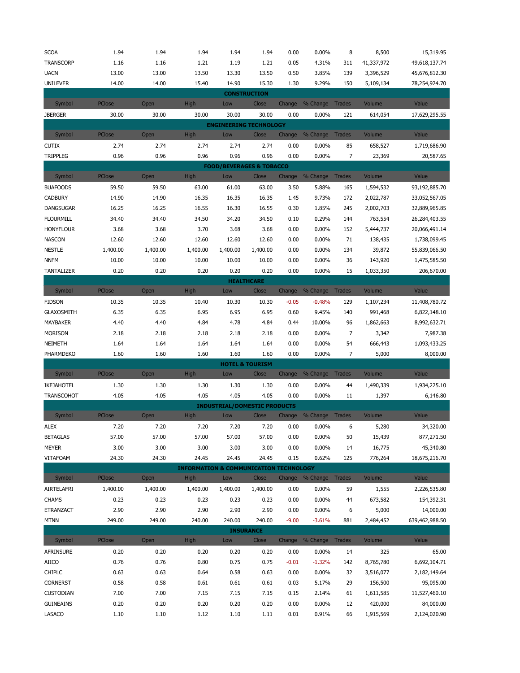| <b>SCOA</b>                                                                                             | 1.94          | 1.94     | 1.94                                              | 1.94                                | 1.94                       | 0.00    | 0.00%                  | 8             | 8,500      | 15,319.95      |  |  |
|---------------------------------------------------------------------------------------------------------|---------------|----------|---------------------------------------------------|-------------------------------------|----------------------------|---------|------------------------|---------------|------------|----------------|--|--|
| <b>TRANSCORP</b>                                                                                        | 1.16          | 1.16     | 1.21                                              | 1.19                                | 1.21                       | 0.05    | 4.31%                  | 311           | 41,337,972 | 49,618,137.74  |  |  |
| <b>UACN</b>                                                                                             | 13.00         | 13.00    | 13.50                                             | 13.30                               | 13.50                      | 0.50    | 3.85%                  | 139           | 3,396,529  | 45,676,812.30  |  |  |
| <b>UNILEVER</b>                                                                                         | 14.00         | 14.00    | 15.40                                             | 14.90                               | 15.30                      | 1.30    | 9.29%                  | 150           | 5,109,134  | 78,254,924.70  |  |  |
| <b>CONSTRUCTION</b>                                                                                     |               |          |                                                   |                                     |                            |         |                        |               |            |                |  |  |
| Symbol                                                                                                  | <b>PClose</b> | Open     | <b>High</b>                                       | Low                                 | Close                      |         | Change % Change Trades |               | Volume     | Value          |  |  |
| <b>JBERGER</b>                                                                                          | 30.00         | 30.00    | 30.00                                             | 30.00                               | 30.00                      | 0.00    | 0.00%                  | 121           | 614,054    | 17,629,295.55  |  |  |
|                                                                                                         |               |          |                                                   | <b>ENGINEERING TECHNOLOGY</b>       |                            |         |                        |               |            |                |  |  |
| Symbol                                                                                                  | PClose        | Open     | High                                              | Low                                 | Close                      | Change  | % Change Trades        |               | Volume     | Value          |  |  |
| <b>CUTIX</b>                                                                                            | 2.74          | 2.74     | 2.74                                              | 2.74                                | 2.74                       | 0.00    | 0.00%                  | 85            | 658,527    | 1,719,686.90   |  |  |
| <b>TRIPPLEG</b>                                                                                         | 0.96          | 0.96     | 0.96                                              | 0.96                                | 0.96                       | 0.00    | 0.00%                  | 7             | 23,369     | 20,587.65      |  |  |
|                                                                                                         |               |          |                                                   | <b>FOOD/BEVERAGES &amp; TOBACCO</b> |                            |         |                        |               |            |                |  |  |
| PClose<br><b>High</b><br>Change<br>% Change Trades<br>Volume<br>Value<br>Symbol<br>Open<br>Low<br>Close |               |          |                                                   |                                     |                            |         |                        |               |            |                |  |  |
| <b>BUAFOODS</b>                                                                                         | 59.50         | 59.50    | 63.00                                             | 61.00                               | 63.00                      | 3.50    | 5.88%                  | 165           | 1,594,532  | 93,192,885.70  |  |  |
| <b>CADBURY</b>                                                                                          | 14.90         | 14.90    | 16.35                                             | 16.35                               | 16.35                      | 1.45    | 9.73%                  | 172           | 2,022,787  | 33,052,567.05  |  |  |
| DANGSUGAR                                                                                               | 16.25         | 16.25    | 16.55                                             | 16.30                               | 16.55                      | 0.30    | 1.85%                  | 245           | 2,002,703  | 32,889,965.85  |  |  |
| <b>FLOURMILL</b>                                                                                        | 34.40         | 34.40    | 34.50                                             | 34.20                               | 34.50                      | 0.10    | 0.29%                  | 144           | 763,554    | 26,284,403.55  |  |  |
| <b>HONYFLOUR</b>                                                                                        | 3.68          | 3.68     | 3.70                                              | 3.68                                | 3.68                       | 0.00    | 0.00%                  | 152           | 5,444,737  | 20,066,491.14  |  |  |
| <b>NASCON</b>                                                                                           | 12.60         | 12.60    | 12.60                                             | 12.60                               | 12.60                      | 0.00    | 0.00%                  | 71            | 138,435    | 1,738,099.45   |  |  |
| <b>NESTLE</b>                                                                                           | 1,400.00      | 1,400.00 | 1,400.00                                          | 1,400.00                            | 1,400.00                   | 0.00    | 0.00%                  | 134           | 39,872     | 55,839,066.50  |  |  |
| <b>NNFM</b>                                                                                             | 10.00         | 10.00    | 10.00                                             | 10.00                               | 10.00                      | 0.00    | 0.00%                  | 36            | 143,920    | 1,475,585.50   |  |  |
| <b>TANTALIZER</b>                                                                                       | 0.20          | 0.20     | 0.20                                              | 0.20                                | 0.20                       | 0.00    | 0.00%                  | 15            | 1,033,350  | 206,670.00     |  |  |
|                                                                                                         |               |          |                                                   |                                     | <b>HEALTHCARE</b>          |         |                        |               |            |                |  |  |
| Symbol                                                                                                  | <b>PClose</b> | Open     | <b>High</b>                                       | Low                                 | Close                      | Change  | % Change               | Trades        | Volume     | Value          |  |  |
| <b>FIDSON</b>                                                                                           | 10.35         | 10.35    | 10.40                                             | 10.30                               | 10.30                      | $-0.05$ | $-0.48%$               | 129           | 1,107,234  | 11,408,780.72  |  |  |
| <b>GLAXOSMITH</b>                                                                                       | 6.35          | 6.35     | 6.95                                              | 6.95                                | 6.95                       | 0.60    | 9.45%                  | 140           | 991,468    | 6,822,148.10   |  |  |
| MAYBAKER                                                                                                | 4.40          | 4.40     | 4.84                                              | 4.78                                | 4.84                       | 0.44    | 10.00%                 | 96            | 1,862,663  | 8,992,632.71   |  |  |
| <b>MORISON</b>                                                                                          | 2.18          | 2.18     | 2.18                                              | 2.18                                | 2.18                       | 0.00    | 0.00%                  | 7             | 3,342      | 7,987.38       |  |  |
| NEIMETH                                                                                                 | 1.64          | 1.64     | 1.64                                              | 1.64                                | 1.64                       | 0.00    | 0.00%                  | 54            | 666,443    | 1,093,433.25   |  |  |
| PHARMDEKO                                                                                               | 1.60          | 1.60     | 1.60                                              | 1.60                                | 1.60                       | 0.00    | 0.00%                  | 7             | 5,000      | 8,000.00       |  |  |
|                                                                                                         |               |          |                                                   |                                     | <b>HOTEL &amp; TOURISM</b> |         |                        |               |            |                |  |  |
| Symbol                                                                                                  | PClose        | Open     | High                                              | Low                                 | Close                      | Change  | % Change Trades        |               | Volume     | Value          |  |  |
| IKEJAHOTEL                                                                                              | 1.30          | 1.30     | 1.30                                              | 1.30                                | 1.30                       | 0.00    | 0.00%                  | 44            | 1,490,339  | 1,934,225.10   |  |  |
| <b>TRANSCOHOT</b>                                                                                       | 4.05          | 4.05     | 4.05                                              | 4.05                                | 4.05                       | 0.00    | 0.00%                  | 11            | 1,397      | 6,146.80       |  |  |
|                                                                                                         |               |          |                                                   | <b>INDUSTRIAL/DOMESTIC PRODUCTS</b> |                            |         |                        |               |            |                |  |  |
| Symbol                                                                                                  | PClose        | Open     | High                                              | Low                                 | <b>Close</b>               | Change  | % Change Trades        |               | Volume     | Value          |  |  |
| ALEX                                                                                                    | 7.20          | 7.20     | 7.20                                              | $7.20$                              | 7.20                       | 0.00    | $0.00\%$               | 6             | 5,280      | 34,320.00      |  |  |
| <b>BETAGLAS</b>                                                                                         | 57.00         | 57.00    | 57.00                                             | 57.00                               | 57.00                      | 0.00    | 0.00%                  | 50            | 15,439     | 877,271.50     |  |  |
| MEYER                                                                                                   | 3.00          | 3.00     | 3.00                                              | 3.00                                | 3.00                       | 0.00    | 0.00%                  | 14            | 16,775     | 45,340.80      |  |  |
| VITAFOAM                                                                                                | 24.30         | 24.30    | 24.45                                             | 24.45                               | 24.45                      | 0.15    | 0.62%                  | 125           | 776,264    | 18,675,216.70  |  |  |
|                                                                                                         |               |          | <b>INFORMATION &amp; COMMUNICATION TECHNOLOGY</b> |                                     |                            |         |                        |               |            |                |  |  |
| Symbol                                                                                                  | PClose        | Open     | <b>High</b>                                       | Low                                 | Close                      |         | Change % Change Trades |               | Volume     | Value          |  |  |
| AIRTELAFRI                                                                                              | 1,400.00      | 1,400.00 | 1,400.00                                          | 1,400.00                            | 1,400.00                   | 0.00    | 0.00%                  | 59            | 1,555      | 2,226,535.80   |  |  |
| <b>CHAMS</b>                                                                                            | 0.23          | 0.23     | 0.23                                              | 0.23                                | 0.23                       | 0.00    | 0.00%                  | 44            | 673,582    | 154,392.31     |  |  |
| ETRANZACT                                                                                               | 2.90          | 2.90     | 2.90                                              | 2.90                                | 2.90                       | 0.00    | 0.00%                  | 6             | 5,000      | 14,000.00      |  |  |
| <b>MTNN</b>                                                                                             | 249.00        | 249.00   | 240.00                                            | 240.00                              | 240.00                     | $-9.00$ | $-3.61%$               | 881           | 2,484,452  | 639,462,988.50 |  |  |
|                                                                                                         |               |          |                                                   |                                     | <b>INSURANCE</b>           |         |                        |               |            |                |  |  |
| Symbol                                                                                                  | PClose        | Open     | <b>High</b>                                       | Low                                 | Close                      | Change  | % Change               | <b>Trades</b> | Volume     | Value          |  |  |
| AFRINSURE                                                                                               | 0.20          | 0.20     | 0.20                                              | 0.20                                | 0.20                       | 0.00    | 0.00%                  | 14            | 325        | 65.00          |  |  |
| AIICO                                                                                                   | 0.76          | 0.76     | 0.80                                              | 0.75                                | 0.75                       | $-0.01$ | $-1.32%$               | 142           | 8,765,780  | 6,692,104.71   |  |  |
| <b>CHIPLC</b>                                                                                           | 0.63          | 0.63     | 0.64                                              | 0.58                                | 0.63                       | 0.00    | 0.00%                  | 32            | 3,516,077  | 2,182,149.64   |  |  |
| <b>CORNERST</b>                                                                                         | 0.58          | 0.58     | 0.61                                              | 0.61                                | 0.61                       | 0.03    | 5.17%                  | 29            | 156,500    | 95,095.00      |  |  |
| <b>CUSTODIAN</b>                                                                                        | 7.00          | 7.00     | 7.15                                              | 7.15                                | 7.15                       | 0.15    | 2.14%                  | 61            | 1,611,585  | 11,527,460.10  |  |  |
| <b>GUINEAINS</b>                                                                                        | 0.20          | 0.20     | 0.20                                              | 0.20                                | 0.20                       | 0.00    | 0.00%                  | 12            | 420,000    | 84,000.00      |  |  |
| LASACO                                                                                                  | 1.10          | 1.10     | 1.12                                              | $1.10\,$                            | 1.11                       | 0.01    | 0.91%                  | 66            | 1,915,569  | 2,124,020.90   |  |  |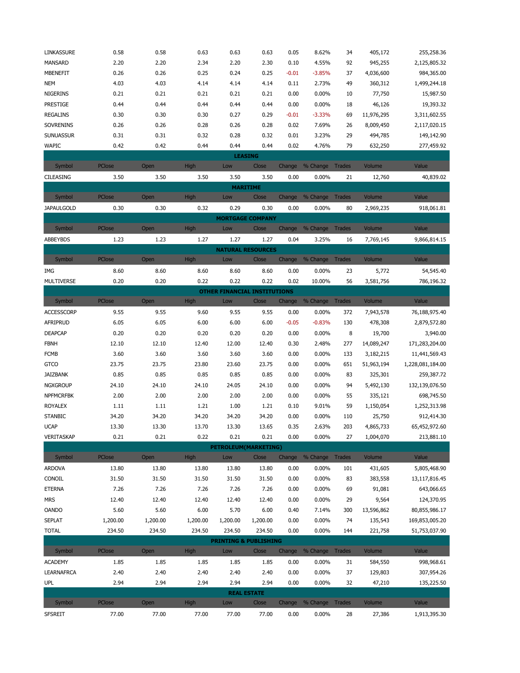| LINKASSURE        | 0.58          | 0.58     | 0.63        | 0.63                                | 0.63     | 0.05    | 8.62%                  | 34            | 405,172    | 255,258.36       |
|-------------------|---------------|----------|-------------|-------------------------------------|----------|---------|------------------------|---------------|------------|------------------|
| MANSARD           | 2.20          | 2.20     | 2.34        | 2.20                                | 2.30     | 0.10    | 4.55%                  | 92            | 945,255    | 2,125,805.32     |
| <b>MBENEFIT</b>   | 0.26          | 0.26     | 0.25        | 0.24                                | 0.25     | $-0.01$ | $-3.85%$               | 37            | 4,036,600  | 984,365.00       |
| <b>NEM</b>        | 4.03          | 4.03     | 4.14        | 4.14                                | 4.14     | 0.11    | 2.73%                  | 49            | 360,312    | 1,499,244.18     |
| <b>NIGERINS</b>   | 0.21          | 0.21     | 0.21        | 0.21                                | 0.21     | 0.00    | 0.00%                  | 10            | 77,750     | 15,987.50        |
| <b>PRESTIGE</b>   | 0.44          | 0.44     | 0.44        | 0.44                                | 0.44     | 0.00    | 0.00%                  | 18            | 46,126     | 19,393.32        |
| <b>REGALINS</b>   | 0.30          | 0.30     | 0.30        | 0.27                                | 0.29     | $-0.01$ | $-3.33%$               | 69            | 11,976,295 | 3,311,602.55     |
| SOVRENINS         | 0.26          | 0.26     | 0.28        | 0.26                                | 0.28     | 0.02    | 7.69%                  | 26            | 8,009,450  | 2,117,020.15     |
| <b>SUNUASSUR</b>  | 0.31          | 0.31     | 0.32        | 0.28                                | 0.32     | 0.01    | 3.23%                  | 29            | 494,785    | 149,142.90       |
| <b>WAPIC</b>      | 0.42          | 0.42     | 0.44        | 0.44                                | 0.44     | 0.02    | 4.76%                  | 79            | 632,250    | 277,459.92       |
|                   |               |          |             | <b>LEASING</b>                      |          |         |                        |               |            |                  |
| Symbol            | PClose        | Open     | <b>High</b> | Low                                 | Close    | Change  | % Change Trades        |               | Volume     | Value            |
| CILEASING         | 3.50          | 3.50     | 3.50        | 3.50                                | 3.50     | 0.00    | 0.00%                  | 21            | 12,760     | 40,839.02        |
|                   |               |          |             | <b>MARITIME</b>                     |          |         |                        |               |            |                  |
| Symbol            | <b>PClose</b> | Open     | <b>High</b> | Low                                 | Close    |         | Change % Change Trades |               | Volume     | Value            |
| <b>JAPAULGOLD</b> | 0.30          | 0.30     | 0.32        | 0.29                                | 0.30     | 0.00    | 0.00%                  | 80            | 2,969,235  | 918,061.81       |
|                   |               |          |             | <b>MORTGAGE COMPANY</b>             |          |         |                        |               |            |                  |
| Symbol            | PClose        | Open     | High        | Low                                 | Close    | Change  | % Change               | <b>Trades</b> | Volume     | Value            |
| ABBEYBDS          | 1.23          | 1.23     | 1.27        | 1.27                                | 1.27     | 0.04    | 3.25%                  | 16            | 7,769,145  | 9,866,814.15     |
|                   |               |          |             | <b>NATURAL RESOURCES</b>            |          |         |                        |               |            |                  |
| Symbol            | PClose        | Open     | <b>High</b> | Low                                 | Close    | Change  | % Change               | <b>Trades</b> | Volume     | Value            |
| IMG               | 8.60          | 8.60     | 8.60        | 8.60                                | 8.60     | 0.00    | 0.00%                  | 23            | 5,772      | 54,545.40        |
| <b>MULTIVERSE</b> | 0.20          | 0.20     | 0.22        | 0.22                                | 0.22     | 0.02    | 10.00%                 | 56            | 3,581,756  | 786,196.32       |
|                   |               |          |             | <b>OTHER FINANCIAL INSTITUTIONS</b> |          |         |                        |               |            |                  |
| Symbol            | PClose        | Open     | High        | Low                                 | Close    |         | Change % Change        | Trades        | Volume     | Value            |
| <b>ACCESSCORP</b> | 9.55          | 9.55     | 9.60        | 9.55                                | 9.55     | 0.00    | 0.00%                  | 372           | 7,943,578  | 76,188,975.40    |
| AFRIPRUD          | 6.05          | 6.05     | 6.00        | 6.00                                | 6.00     | $-0.05$ | $-0.83%$               | 130           | 478,308    | 2,879,572.80     |
| <b>DEAPCAP</b>    | 0.20          | 0.20     | 0.20        | 0.20                                | 0.20     | 0.00    | 0.00%                  | 8             | 19,700     | 3,940.00         |
| <b>FBNH</b>       | 12.10         | 12.10    | 12.40       | 12.00                               | 12.40    | 0.30    | 2.48%                  | 277           | 14,089,247 | 171,283,204.00   |
| <b>FCMB</b>       | 3.60          | 3.60     | 3.60        | 3.60                                | 3.60     | 0.00    | 0.00%                  | 133           | 3,182,215  | 11,441,569.43    |
| <b>GTCO</b>       | 23.75         | 23.75    | 23.80       | 23.60                               | 23.75    | 0.00    | 0.00%                  | 651           | 51,963,194 | 1,228,081,184.00 |
| JAIZBANK          | 0.85          | 0.85     | 0.85        | 0.85                                | 0.85     | 0.00    | 0.00%                  | 83            | 325,301    | 259,387.72       |
| <b>NGXGROUP</b>   | 24.10         | 24.10    | 24.10       | 24.05                               | 24.10    | 0.00    | 0.00%                  | 94            | 5,492,130  | 132,139,076.50   |
| <b>NPFMCRFBK</b>  | 2.00          | 2.00     | 2.00        | 2.00                                | 2.00     | 0.00    | 0.00%                  | 55            | 335,121    | 698,745.50       |
| <b>ROYALEX</b>    | 1.11          | 1.11     | 1.21        | 1.00                                | 1.21     | 0.10    | 9.01%                  | 59            | 1,150,054  | 1,252,313.98     |
| <b>STANBIC</b>    | 34.20         | 34.20    | 34.20       | 34.20                               | 34.20    | 0.00    | 0.00%                  | 110           | 25,750     | 912,414.30       |
| <b>UCAP</b>       | 13.30         | 13.30    | 13.70       | 13.30                               | 13.65    | 0.35    | 2.63%                  | 203           | 4,865,733  | 65,452,972.60    |
| VERITASKAP        | 0.21          | 0.21     | 0.22        | 0.21                                | 0.21     | 0.00    | 0.00%                  | 27            | 1,004,070  | 213,881.10       |
|                   |               |          |             | <b>PETROLEUM(MARKETING)</b>         |          |         |                        |               |            |                  |
| Symbol            | PClose        | Open     | <b>High</b> | Low                                 | Close    |         | Change % Change Trades |               | Volume     | Value            |
| <b>ARDOVA</b>     | 13.80         | 13.80    | 13.80       | 13.80                               | 13.80    | 0.00    | 0.00%                  | 101           | 431,605    | 5,805,468.90     |
| CONOIL            | 31.50         | 31.50    | 31.50       | 31.50                               | 31.50    | 0.00    | 0.00%                  | 83            | 383,558    | 13,117,816.45    |
| <b>ETERNA</b>     | 7.26          | 7.26     | 7.26        | 7.26                                | 7.26     | 0.00    | 0.00%                  | 69            | 91,081     | 643,066.65       |
| <b>MRS</b>        | 12.40         | 12.40    | 12.40       | 12.40                               | 12.40    | 0.00    | 0.00%                  | 29            | 9,564      | 124,370.95       |
| <b>OANDO</b>      | 5.60          | 5.60     | 6.00        | 5.70                                | 6.00     | 0.40    | 7.14%                  | 300           | 13,596,862 | 80,855,986.17    |
| <b>SEPLAT</b>     | 1,200.00      | 1,200.00 | 1,200.00    | 1,200.00                            | 1,200.00 | 0.00    | 0.00%                  | 74            | 135,543    | 169,853,005.20   |
| <b>TOTAL</b>      | 234.50        | 234.50   | 234.50      | 234.50                              | 234.50   | 0.00    | 0.00%                  | 144           | 221,758    | 51,753,037.90    |
|                   |               |          |             | <b>PRINTING &amp; PUBLISHING</b>    |          |         |                        |               |            |                  |
| Symbol            | PClose        | Open     | <b>High</b> | Low                                 | Close    |         | Change % Change Trades |               | Volume     | Value            |
| <b>ACADEMY</b>    | 1.85          | 1.85     | 1.85        | 1.85                                | 1.85     | 0.00    | 0.00%                  | 31            | 584,550    | 998,968.61       |
| <b>LEARNAFRCA</b> | 2.40          | 2.40     | 2.40        | 2.40                                | 2.40     | 0.00    | 0.00%                  | 37            | 129,803    | 307,954.26       |
| UPL               | 2.94          | 2.94     | 2.94        | 2.94                                | 2.94     | 0.00    | 0.00%                  | 32            | 47,210     | 135,225.50       |
|                   |               |          |             | <b>REAL ESTATE</b>                  |          |         |                        |               |            |                  |
| Symbol            | PClose        | Open     | <b>High</b> | Low                                 | Close    | Change  | % Change Trades        |               | Volume     | Value            |
| <b>SFSREIT</b>    | 77.00         | 77.00    | 77.00       | 77.00                               | 77.00    | 0.00    | 0.00%                  | 28            | 27,386     | 1,913,395.30     |